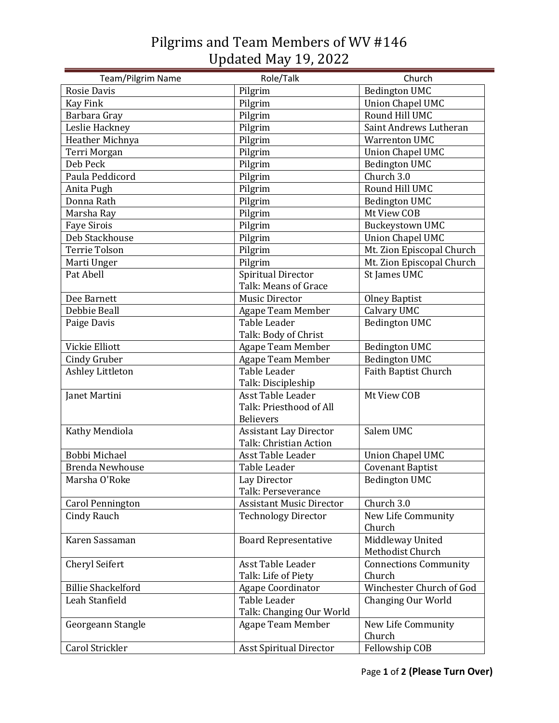## Pilgrims and Team Members of WV #146 Updated May 19, 2022

| Team/Pilgrim Name         | Role/Talk                       | Church                       |
|---------------------------|---------------------------------|------------------------------|
| <b>Rosie Davis</b>        | Pilgrim                         | <b>Bedington UMC</b>         |
| <b>Kay Fink</b>           | Pilgrim                         | <b>Union Chapel UMC</b>      |
| Barbara Gray              | Pilgrim                         | Round Hill UMC               |
| Leslie Hackney            | Pilgrim                         | Saint Andrews Lutheran       |
| Heather Michnya           | Pilgrim                         | <b>Warrenton UMC</b>         |
| Terri Morgan              | Pilgrim                         | <b>Union Chapel UMC</b>      |
| Deb Peck                  | Pilgrim                         | <b>Bedington UMC</b>         |
| Paula Peddicord           | Pilgrim                         | Church 3.0                   |
| Anita Pugh                | Pilgrim                         | Round Hill UMC               |
| Donna Rath                | Pilgrim                         | <b>Bedington UMC</b>         |
| Marsha Ray                | Pilgrim                         | Mt View COB                  |
| <b>Faye Sirois</b>        | Pilgrim                         | <b>Buckeystown UMC</b>       |
| Deb Stackhouse            | Pilgrim                         | Union Chapel UMC             |
| <b>Terrie Tolson</b>      | Pilgrim                         | Mt. Zion Episcopal Church    |
| Marti Unger               | Pilgrim                         | Mt. Zion Episcopal Church    |
| Pat Abell                 | Spiritual Director              | St James UMC                 |
|                           | Talk: Means of Grace            |                              |
| Dee Barnett               | <b>Music Director</b>           | <b>Olney Baptist</b>         |
| Debbie Beall              | Agape Team Member               | Calvary UMC                  |
| Paige Davis               | Table Leader                    | <b>Bedington UMC</b>         |
|                           | Talk: Body of Christ            |                              |
| Vickie Elliott            | Agape Team Member               | <b>Bedington UMC</b>         |
| <b>Cindy Gruber</b>       | Agape Team Member               | <b>Bedington UMC</b>         |
| Ashley Littleton          | Table Leader                    | Faith Baptist Church         |
|                           | Talk: Discipleship              |                              |
| Janet Martini             | Asst Table Leader               | Mt View COB                  |
|                           | Talk: Priesthood of All         |                              |
|                           | <b>Believers</b>                |                              |
| Kathy Mendiola            | <b>Assistant Lay Director</b>   | Salem UMC                    |
|                           | Talk: Christian Action          |                              |
| Bobbi Michael             | Asst Table Leader               | <b>Union Chapel UMC</b>      |
| <b>Brenda Newhouse</b>    | Table Leader                    | <b>Covenant Baptist</b>      |
| Marsha O'Roke             | Lay Director                    | <b>Bedington UMC</b>         |
|                           | Talk: Perseverance              |                              |
| <b>Carol Pennington</b>   | <b>Assistant Music Director</b> | Church 3.0                   |
| Cindy Rauch               | <b>Technology Director</b>      | New Life Community<br>Church |
| Karen Sassaman            | <b>Board Representative</b>     | Middleway United             |
|                           |                                 | Methodist Church             |
| Cheryl Seifert            | Asst Table Leader               | <b>Connections Community</b> |
|                           | Talk: Life of Piety             | Church                       |
| <b>Billie Shackelford</b> | Agape Coordinator               | Winchester Church of God     |
| Leah Stanfield            | Table Leader                    | Changing Our World           |
|                           | Talk: Changing Our World        |                              |
| Georgeann Stangle         | Agape Team Member               | New Life Community           |
|                           |                                 | Church                       |
| Carol Strickler           | <b>Asst Spiritual Director</b>  | Fellowship COB               |